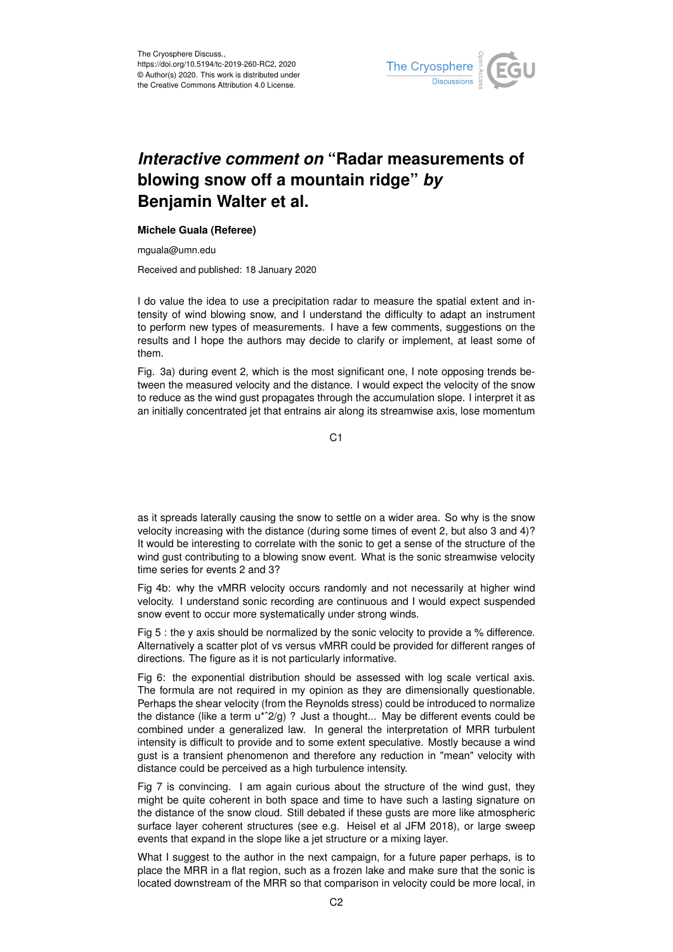

## *Interactive comment on* **"Radar measurements of blowing snow off a mountain ridge"** *by* **Benjamin Walter et al.**

## **Michele Guala (Referee)**

mguala@umn.edu

Received and published: 18 January 2020

I do value the idea to use a precipitation radar to measure the spatial extent and intensity of wind blowing snow, and I understand the difficulty to adapt an instrument to perform new types of measurements. I have a few comments, suggestions on the results and I hope the authors may decide to clarify or implement, at least some of them.

Fig. 3a) during event 2, which is the most significant one, I note opposing trends between the measured velocity and the distance. I would expect the velocity of the snow to reduce as the wind gust propagates through the accumulation slope. I interpret it as an initially concentrated jet that entrains air along its streamwise axis, lose momentum

C<sub>1</sub>

as it spreads laterally causing the snow to settle on a wider area. So why is the snow velocity increasing with the distance (during some times of event 2, but also 3 and 4)? It would be interesting to correlate with the sonic to get a sense of the structure of the wind gust contributing to a blowing snow event. What is the sonic streamwise velocity time series for events 2 and 3?

Fig 4b: why the vMRR velocity occurs randomly and not necessarily at higher wind velocity. I understand sonic recording are continuous and I would expect suspended snow event to occur more systematically under strong winds.

Fig 5 : the y axis should be normalized by the sonic velocity to provide a % difference. Alternatively a scatter plot of vs versus vMRR could be provided for different ranges of directions. The figure as it is not particularly informative.

Fig 6: the exponential distribution should be assessed with log scale vertical axis. The formula are not required in my opinion as they are dimensionally questionable. Perhaps the shear velocity (from the Reynolds stress) could be introduced to normalize the distance (like a term  $u^*2/g$ ) ? Just a thought... May be different events could be combined under a generalized law. In general the interpretation of MRR turbulent intensity is difficult to provide and to some extent speculative. Mostly because a wind gust is a transient phenomenon and therefore any reduction in "mean" velocity with distance could be perceived as a high turbulence intensity.

Fig 7 is convincing. I am again curious about the structure of the wind gust, they might be quite coherent in both space and time to have such a lasting signature on the distance of the snow cloud. Still debated if these gusts are more like atmospheric surface layer coherent structures (see e.g. Heisel et al JFM 2018), or large sweep events that expand in the slope like a jet structure or a mixing layer.

What I suggest to the author in the next campaign, for a future paper perhaps, is to place the MRR in a flat region, such as a frozen lake and make sure that the sonic is located downstream of the MRR so that comparison in velocity could be more local, in